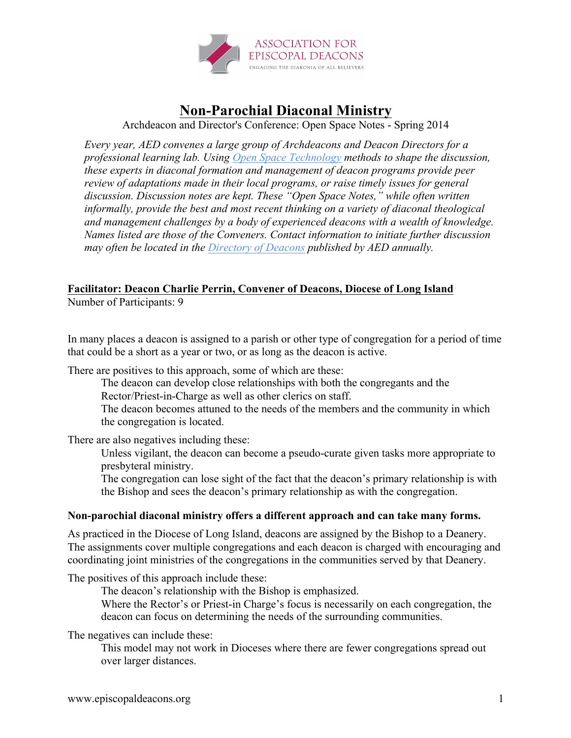

## **Non-Parochial Diaconal Ministry**

Archdeacon and Director's Conference: Open Space Notes - Spring 2014

*Every year, AED convenes a large group of Archdeacons and Deacon Directors for a professional learning lab. Using Open Space Technology methods to shape the discussion, these experts in diaconal formation and management of deacon programs provide peer review of adaptations made in their local programs, or raise timely issues for general discussion. Discussion notes are kept. These "Open Space Notes," while often written informally, provide the best and most recent thinking on a variety of diaconal theological and management challenges by a body of experienced deacons with a wealth of knowledge. Names listed are those of the Conveners. Contact information to initiate further discussion may often be located in the Directory of Deacons published by AED annually.*

## **Facilitator: Deacon Charlie Perrin, Convener of Deacons, Diocese of Long Island**

Number of Participants: 9

In many places a deacon is assigned to a parish or other type of congregation for a period of time that could be a short as a year or two, or as long as the deacon is active.

There are positives to this approach, some of which are these:

The deacon can develop close relationships with both the congregants and the Rector/Priest-in-Charge as well as other clerics on staff.

The deacon becomes attuned to the needs of the members and the community in which the congregation is located.

There are also negatives including these:

Unless vigilant, the deacon can become a pseudo-curate given tasks more appropriate to presbyteral ministry.

The congregation can lose sight of the fact that the deacon's primary relationship is with the Bishop and sees the deacon's primary relationship as with the congregation.

## **Non-parochial diaconal ministry offers a different approach and can take many forms.**

As practiced in the Diocese of Long Island, deacons are assigned by the Bishop to a Deanery. The assignments cover multiple congregations and each deacon is charged with encouraging and coordinating joint ministries of the congregations in the communities served by that Deanery.

The positives of this approach include these:

The deacon's relationship with the Bishop is emphasized.

Where the Rector's or Priest-in Charge's focus is necessarily on each congregation, the deacon can focus on determining the needs of the surrounding communities.

The negatives can include these:

This model may not work in Dioceses where there are fewer congregations spread out over larger distances.